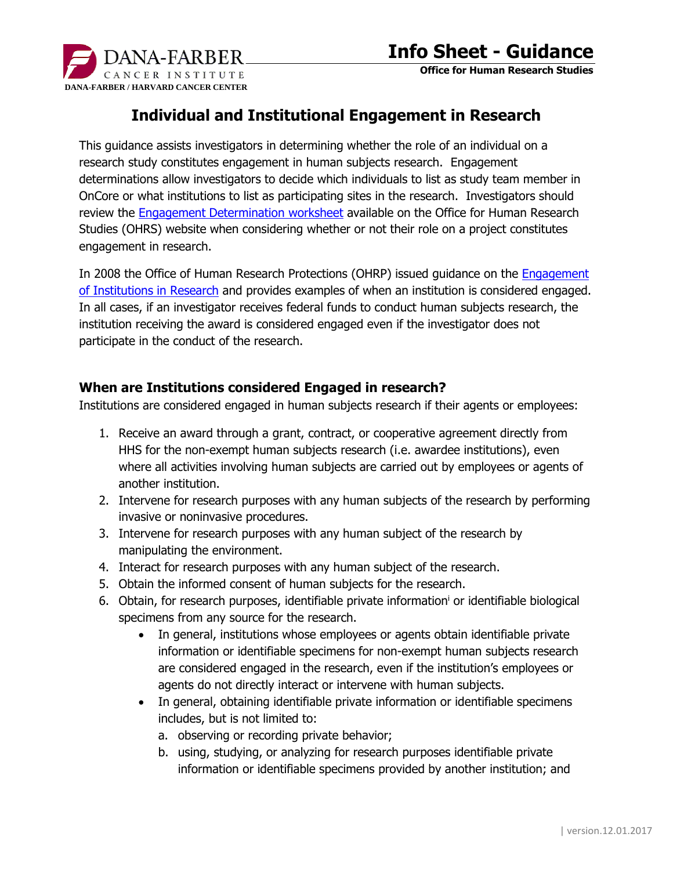

**Office for Human Research Studies**

## **Individual and Institutional Engagement in Research**

This guidance assists investigators in determining whether the role of an individual on a research study constitutes engagement in human subjects research. Engagement determinations allow investigators to decide which individuals to list as study team member in OnCore or what institutions to list as participating sites in the research. Investigators should review the [Engagement Determination worksheet](http://www.dfhcc.harvard.edu/crs-resources/OHRS_Documents/02_-_Investigator_Resources/HRP-311_-_WORKSHEET_-_Engagement_Determination.docx) available on the Office for Human Research Studies (OHRS) website when considering whether or not their role on a project constitutes engagement in research.

In 2008 the Office of Human Research Protections (OHRP) issued guidance on the [Engagement](http://www.hhs.gov/ohrp/policy/engage08.html)  [of Institutions in Research](http://www.hhs.gov/ohrp/policy/engage08.html) and provides examples of when an institution is considered engaged. In all cases, if an investigator receives federal funds to conduct human subjects research, the institution receiving the award is considered engaged even if the investigator does not participate in the conduct of the research.

### **When are Institutions considered Engaged in research?**

Institutions are considered engaged in human subjects research if their agents or employees:

- 1. Receive an award through a grant, contract, or cooperative agreement directly from HHS for the non-exempt human subjects research (i.e. awardee institutions), even where all activities involving human subjects are carried out by employees or agents of another institution.
- 2. Intervene for research purposes with any human subjects of the research by performing invasive or noninvasive procedures.
- 3. Intervene for research purposes with any human subject of the research by manipulating the environment.
- 4. Interact for research purposes with any human subject of the research.
- 5. Obtain the informed consent of human subjects for the research.
- 6. Obtain, for research purposes, identifiable private information<sup>i</sup> or identifiable biological specimens from any source for the research.
	- In general, institutions whose employees or agents obtain identifiable private information or identifiable specimens for non-exempt human subjects research are considered engaged in the research, even if the institution's employees or agents do not directly interact or intervene with human subjects.
	- In general, obtaining identifiable private information or identifiable specimens includes, but is not limited to:
		- a. observing or recording private behavior;
		- b. using, studying, or analyzing for research purposes identifiable private information or identifiable specimens provided by another institution; and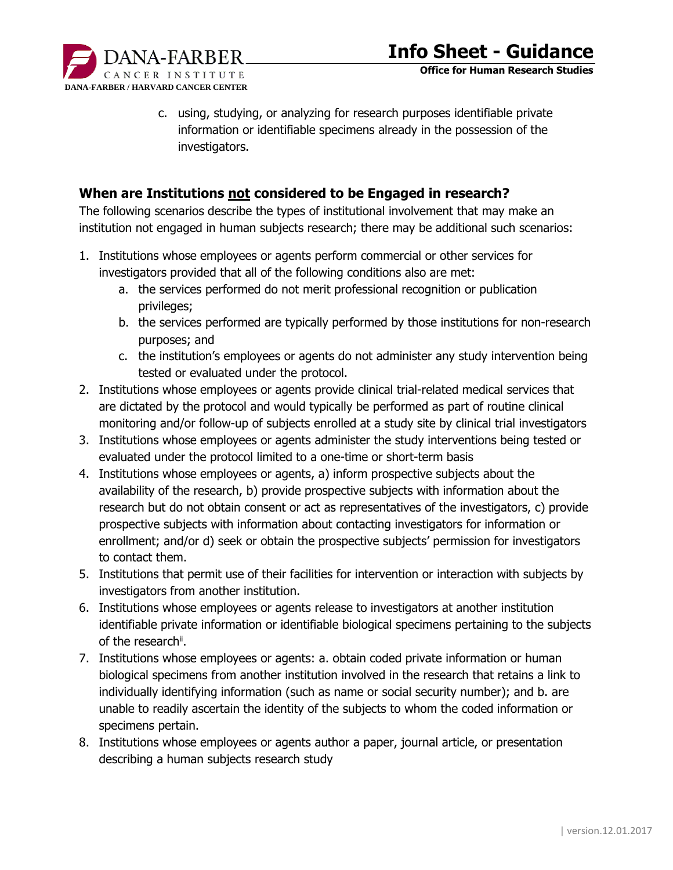

c. using, studying, or analyzing for research purposes identifiable private information or identifiable specimens already in the possession of the investigators.

#### **When are Institutions not considered to be Engaged in research?**

The following scenarios describe the types of institutional involvement that may make an institution not engaged in human subjects research; there may be additional such scenarios:

- 1. Institutions whose employees or agents perform commercial or other services for investigators provided that all of the following conditions also are met:
	- a. the services performed do not merit professional recognition or publication privileges;
	- b. the services performed are typically performed by those institutions for non-research purposes; and
	- c. the institution's employees or agents do not administer any study intervention being tested or evaluated under the protocol.
- 2. Institutions whose employees or agents provide clinical trial-related medical services that are dictated by the protocol and would typically be performed as part of routine clinical monitoring and/or follow-up of subjects enrolled at a study site by clinical trial investigators
- 3. Institutions whose employees or agents administer the study interventions being tested or evaluated under the protocol limited to a one-time or short-term basis
- 4. Institutions whose employees or agents, a) inform prospective subjects about the availability of the research, b) provide prospective subjects with information about the research but do not obtain consent or act as representatives of the investigators, c) provide prospective subjects with information about contacting investigators for information or enrollment; and/or d) seek or obtain the prospective subjects' permission for investigators to contact them.
- 5. Institutions that permit use of their facilities for intervention or interaction with subjects by investigators from another institution.
- 6. Institutions whose employees or agents release to investigators at another institution identifiable private information or identifiable biological specimens pertaining to the subjects of the research<sup>ii</sup>.
- 7. Institutions whose employees or agents: a. obtain coded private information or human biological specimens from another institution involved in the research that retains a link to individually identifying information (such as name or social security number); and b. are unable to readily ascertain the identity of the subjects to whom the coded information or specimens pertain.
- 8. Institutions whose employees or agents author a paper, journal article, or presentation describing a human subjects research study